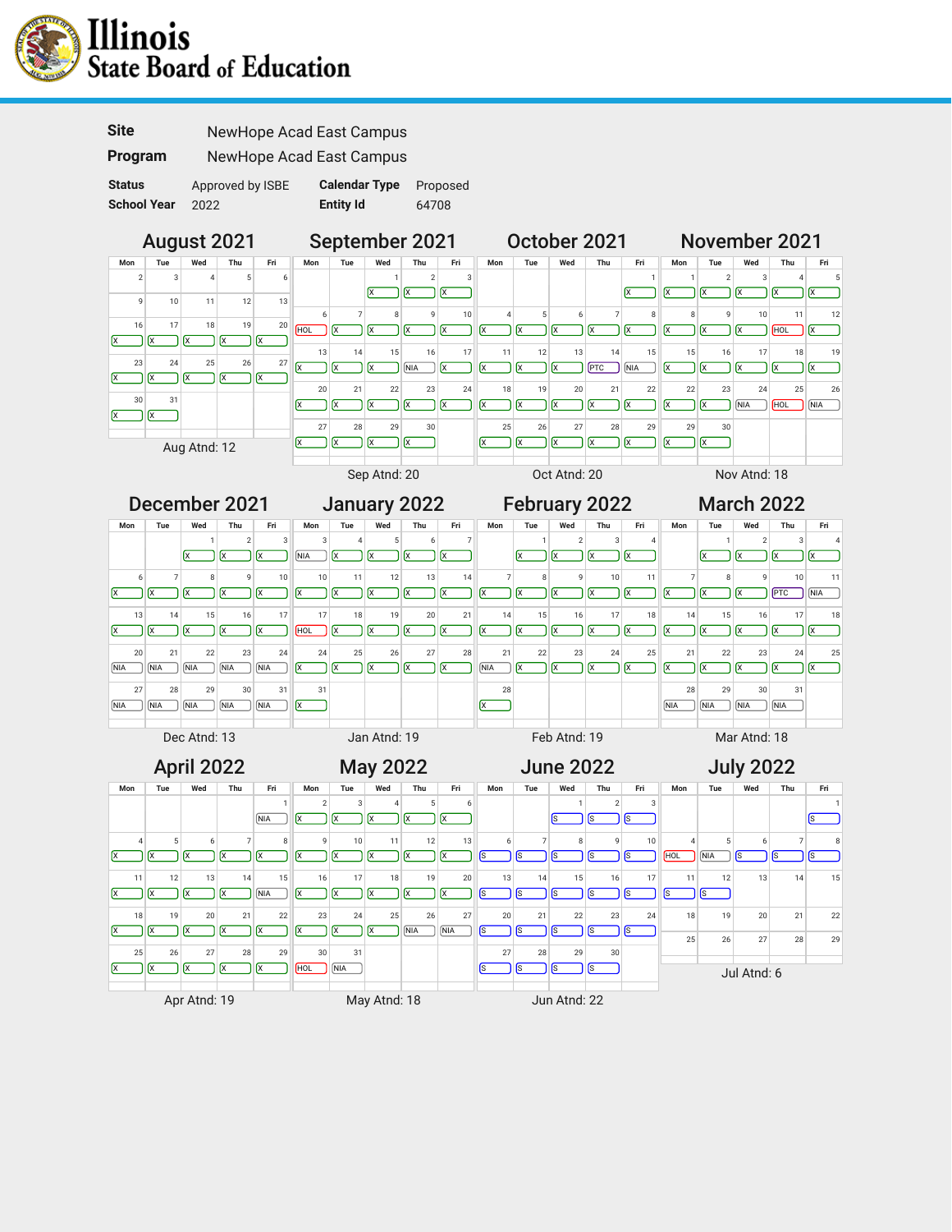





November 2021

December 2021 January 2022 February 2022 March 2022 **Mon Tue Wed Thu Fri Mon Tue Wed Thu Fri Mon Tue Wed Thu Fri Mon Tue Wed Thu Fri**  $1 \quad 2 \quad 3$ 3 4 5 6 7  $1 \quad 2 \quad 3 \quad 4$  $1$  2 3 4  $\overline{NIA}$   $\overline{X}$   $\overline{X}$   $\overline{X}$   $\overline{X}$  $\mathsf{x}$   $\mathsf{x}$   $\mathsf{x}$   $\mathsf{x}$  $x \rightarrow x$  $x$   $x$   $x$   $x$ 6 7 8 9 10 10 11 12 13 14 7 8 9 10 11 7 8 9 10 11  $x$   $x$   $x$   $x$   $x$   $x$  $\overline{X}$   $\overline{X}$   $\overline{X}$   $\overline{X}$   $\overline{P}$   $\overline{P}$   $\overline{P}$   $\overline{N}$   $\overline{N}$   $\overline{M}$ ר X X X X X ר  $x$   $x$   $x$   $x$   $x$   $x$ ר 13 14 15 16 17 17 18 19 20 21 14 15 16 17 18 14 15 16 17 18  $\alpha$   $\alpha$   $\alpha$   $\alpha$   $\alpha$   $\alpha$   $\alpha$   $\alpha$  $\mathbf{x}$   $\mathbf{x}$   $\mathbf{x}$   $\mathbf{x}$   $\mathbf{x}$   $\mathbf{x}$  $HOL$   $(X<sup>2</sup>)$   $(X<sup>2</sup>)$   $(X<sup>2</sup>)$   $(X<sup>2</sup>)$   $(X<sup>2</sup>)$ ┑ ┑  $x \log x$   $x \log x$ ᄀ 20 21 22 23 24 24 25 26 27 28 21 22 23 24 25 21 22 23 24 25  $\mathbf{x}$   $\mathbf{x}$   $\mathbf{x}$   $\mathbf{x}$   $\mathbf{x}$   $\mathbf{x}$   $\mathbf{x}$  $\sqrt{NIA}$   $\sqrt{X}$   $\sqrt{X}$   $\sqrt{X}$   $\sqrt{X}$ NIA NIA NIA NIA NIA ר ר  $X$   $X$   $X$   $X$   $X$   $X$ 31 28 27 28 29 30 31 28 29 30 31  $\log$  $\Box$  $\boxed{\text{NIA}}$   $\boxed{\text{NIA}}$   $\boxed{\text{NIA}}$   $\boxed{\text{NIA}}$  $\boxed{\text{NIA}}$   $\boxed{\text{NIA}}$   $\boxed{\text{NIA}}$   $\boxed{\text{NIA}}$ ┑  $\boxed{\mathsf{x}}$ Dec Atnd: 13 Jan Atnd: 19 Feb Atnd: 19 Mar Atnd: 18